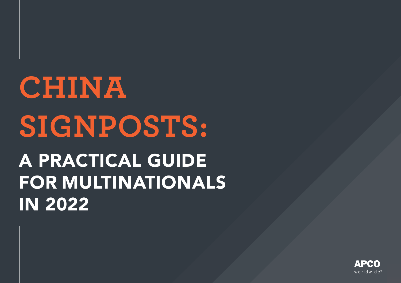# **CHINA SIGNPOSTS:** A PRACTICAL GUIDE FOR MULTINATIONALS IN 2022

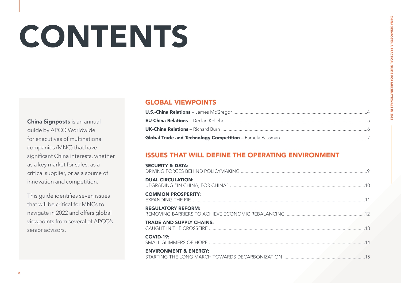# **CONTENTS**

China Signposts is an annual guide by APCO Worldwide for executives of multinational companies (MNC) that have significant China interests, whether as a key market for sales, as a critical supplier, or as a source of innovation and competition.

This guide identifies seven issues that will be critical for MNCs to navigate in 2022 and offers global viewpoints from several of APCO's senior advisors.

### GLOBAL VIEWPOINTS

### ISSUES THAT WILL DEFINE THE OPERATING ENVIRONMENT

| <b>SECURITY &amp; DATA:</b>      |  |
|----------------------------------|--|
| <b>DUAL CIRCULATION:</b>         |  |
| <b>COMMON PROSPERITY:</b>        |  |
| <b>REGULATORY REFORM:</b>        |  |
| <b>TRADE AND SUPPLY CHAINS:</b>  |  |
| <b>COVID-19:</b>                 |  |
| <b>ENVIRONMENT &amp; ENERGY:</b> |  |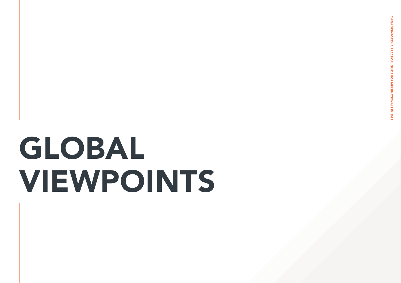# GLOBAL VIEWPOINTS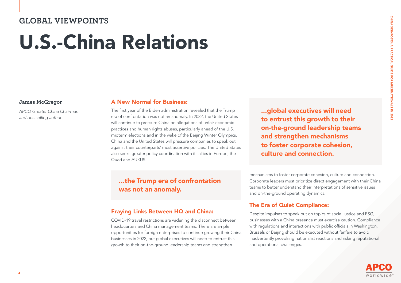### **GLOBAL VIEWPOINTS**

# U.S.-China Relations

#### **James McGregor**

*APCO Greater China Chairman and bestselling author*

#### A New Normal for Business:

The first year of the Biden administration revealed that the Trump era of confrontation was not an anomaly. In 2022, the United States will continue to pressure China on allegations of unfair economic practices and human rights abuses, particularly ahead of the U.S. midterm elections and in the wake of the Beijing Winter Olympics. China and the United States will pressure companies to speak out against their counterparts' most assertive policies. The United States also seeks greater policy coordination with its allies in Europe, the Quad and AUKUS.

### ...the Trump era of confrontation was not an anomaly.

### Fraying Links Between HQ and China:

COVID-19 travel restrictions are widening the disconnect between headquarters and China management teams. There are ample opportunities for foreign enterprises to continue growing their China businesses in 2022, but global executives will need to entrust this growth to their on-the-ground leadership teams and strengthen

...global executives will need to entrust this growth to their on-the-ground leadership teams and strengthen mechanisms to foster corporate cohesion, culture and connection.

mechanisms to foster corporate cohesion, culture and connection. Corporate leaders must prioritize direct engagement with their China teams to better understand their interpretations of sensitive issues and on-the-ground operating dynamics.

### The Era of Quiet Compliance:

Despite impulses to speak out on topics of social justice and ESG, businesses with a China presence must exercise caution. Compliance with regulations and interactions with public officials in Washington, Brussels or Beijing should be executed without fanfare to avoid inadvertently provoking nationalist reactions and risking reputational and operational challenges.

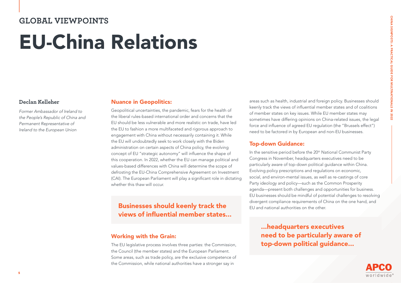# CHINA SIGNPOSTS: A PRACTICAL GUIDE CHINA SIGNPOSTS: A PRACTICAL GUIDE FOR MULTINATIONALS IN 2022 202

### **GLOBAL VIEWPOINTS**  EU-China Relations

#### **Declan Kelleher**

*Former Ambassador of Ireland to the People's Republic of China and Permanent Representative of Ireland to the European Union*

#### Nuance in Geopolitics:

Geopolitical uncertainties, the pandemic, fears for the health of the liberal rules-based international order and concerns that the EU should be less vulnerable and more realistic on trade, have led the EU to fashion a more multifaceted and rigorous approach to engagement with China without necessarily containing it. While the EU will undoubtedly seek to work closely with the Biden administration on certain aspects of China policy, the evolving concept of EU "strategic autonomy" will influence the shape of this cooperation. In 2022, whether the EU can manage political and values-based differences with China will determine the scope of defrosting the EU-China Comprehensive Agreement on Investment (CAI). The European Parliament will play a significant role in dictating whether this thaw will occur.

### Businesses should keenly track the views of influential member states...

#### Working with the Grain:

The EU legislative process involves three parties: the Commission, the Council (the member states) and the European Parliament. Some areas, such as trade policy, are the exclusive competence of the Commission, while national authorities have a stronger say in

areas such as health, industrial and foreign policy. Businesses should keenly track the views of influential member states and of coalitions of member states on key issues. While EU member states may sometimes have differing opinions on China-related issues, the legal force and influence of agreed EU regulation (the "Brussels effect") need to be factored in by European and non-EU businesses.

### Top-down Guidance:

In the sensitive period before the 20<sup>th</sup> National Communist Party Congress in November, headquarters executives need to be particularly aware of top-down political guidance within China. Evolving policy prescriptions and regulations on economic, social, and environ-mental issues, as well as re-castings of core Party ideology and policy—such as the Common Prosperity agenda—present both challenges and opportunities for business. EU businesses should be mindful of potential challenges to resolving divergent compliance requirements of China on the one hand, and EU and national authorities on the other.

...headquarters executives need to be particularly aware of top-down political guidance...

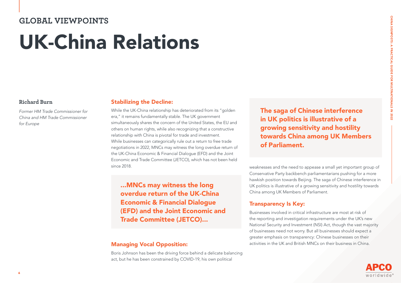### **GLOBAL VIEWPOINTS**  UK-China Relations

#### **Richard Burn**

*Former HM Trade Commissioner for China and HM Trade Commissioner for Europe*

### Stabilizing the Decline:

While the UK-China relationship has deteriorated from its "golden era," it remains fundamentally stable. The UK government simultaneously shares the concern of the United States, the EU and others on human rights, while also recognizing that a constructive relationship with China is pivotal for trade and investment. While businesses can categorically rule out a return to free trade negotiations in 2022, MNCs may witness the long overdue return of the UK-China Economic & Financial Dialogue (EFD) and the Joint Economic and Trade Committee (JETCO), which has not been held since 2018.

...MNCs may witness the long overdue return of the UK-China Economic & Financial Dialogue (EFD) and the Joint Economic and Trade Committee (JETCO)...

### Managing Vocal Opposition:

Boris Johnson has been the driving force behind a delicate balancing act, but he has been constrained by COVID-19, his own political

The saga of Chinese interference in UK politics is illustrative of a growing sensitivity and hostility towards China among UK Members of Parliament.

weaknesses and the need to appease a small yet important group of Conservative Party backbench parliamentarians pushing for a more hawkish position towards Beijing. The saga of Chinese interference in UK politics is illustrative of a growing sensitivity and hostility towards China among UK Members of Parliament.

### Transparency Is Key:

Businesses involved in critical infrastructure are most at risk of the reporting and investigation requirements under the UK's new National Security and Investment (NSI) Act, though the vast majority of businesses need not worry. But all businesses should expect a greater emphasis on transparency: Chinese businesses on their activities in the UK and British MNCs on their business in China.



CHINA SIGNPOSTS: A PRACTICAL GUIDE FOR MULTINATIONALS IN 2022

CHINA SIGNPOSTS: A PRACTICAL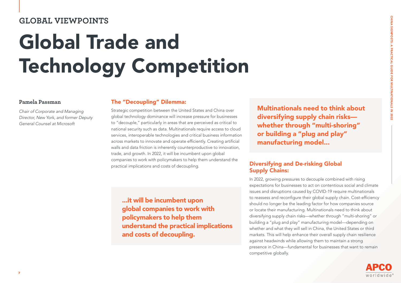### **GLOBAL VIEWPOINTS**

# Global Trade and Technology Competition

#### **Pamela Passman**

*Chair of Corporate and Managing Director, New York, and former Deputy General Counsel at Microsoft*

#### The "Decoupling" Dilemma:

Strategic competition between the United States and China over global technology dominance will increase pressure for businesses to "decouple," particularly in areas that are perceived as critical to national security such as data. Multinationals require access to cloud services, interoperable technologies and critical business information across markets to innovate and operate efficiently. Creating artificial walls and data friction is inherently counterproductive to innovation, trade, and growth. In 2022, it will be incumbent upon global companies to work with policymakers to help them understand the practical implications and costs of decoupling.

Multinationals need to think about diversifying supply chain risks whether through "multi-shoring" or building a "plug and play" manufacturing model...

### Diversifying and De-risking Global Supply Chains:

In 2022, growing pressures to decouple combined with rising expectations for businesses to act on contentious social and climate issues and disruptions caused by COVID-19 require multinationals to reassess and reconfigure their global supply chain. Cost-efficiency should no longer be the leading factor for how companies source or locate their manufacturing. Multinationals need to think about diversifying supply chain risks—whether through "multi-shoring" or building a "plug and play" manufacturing model—depending on whether and what they will sell in China, the United States or third markets. This will help enhance their overall supply chain resilience against headwinds while allowing them to maintain a strong presence in China—fundamental for businesses that want to remain competitive globally.

...it will be incumbent upon global companies to work with policymakers to help them understand the practical implications and costs of decoupling.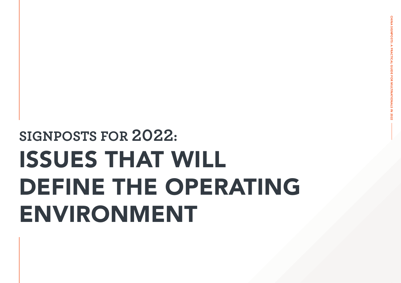# ISSUES THAT WILL DEFINE THE OPERATING ENVIRONMENT **SIGNPOSTS FOR 2022:**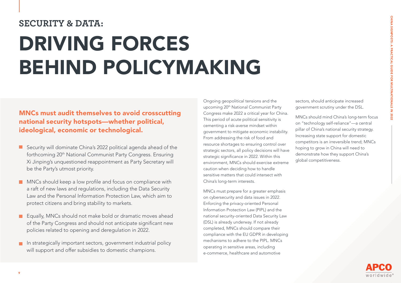### **SECURITY & DATA:**

# DRIVING FORCES BEHIND POLICYMAKING

### MNCs must audit themselves to avoid crosscutting national security hotspots—whether political, ideological, economic or technological.

- Security will dominate China's 2022 political agenda ahead of the forthcoming 20<sup>th</sup> National Communist Party Congress. Ensuring Xi Jinping's unquestioned reappointment as Party Secretary will be the Party's utmost priority.
- MNCs should keep a low profile and focus on compliance with п a raft of new laws and regulations, including the Data Security Law and the Personal Information Protection Law, which aim to protect citizens and bring stability to markets.
- Equally, MNCs should not make bold or dramatic moves ahead of the Party Congress and should not anticipate significant new policies related to opening and deregulation in 2022.
- In strategically important sectors, government industrial policy will support and offer subsidies to domestic champions.

Ongoing geopolitical tensions and the upcoming 20th National Communist Party Congress make 2022 a critical year for China. This period of acute political sensitivity is cementing a risk-averse mindset within government to mitigate economic instability. From addressing the risk of food and resource shortages to ensuring control over strategic sectors, all policy decisions will have strategic significance in 2022. Within this environment, MNCs should exercise extreme caution when deciding how to handle sensitive matters that could intersect with China's long-term interests.

MNCs must prepare for a greater emphasis on cybersecurity and data issues in 2022. Enforcing the privacy-oriented Personal Information Protection Law (PIPL) and the national security-oriented Data Security Law (DSL) is already underway. If not already completed, MNCs should compare their compliance with the EU GDPR in developing mechanisms to adhere to the PIPL. MNCs operating in sensitive areas, including e-commerce, healthcare and automotive

sectors, should anticipate increased government scrutiny under the DSL.

MNCs should mind China's long-term focus on "technology self-reliance"—a central pillar of China's national security strategy. Increasing state support for domestic competitors is an irreversible trend; MNCs hoping to grow in China will need to demonstrate how they support China's global competitiveness.

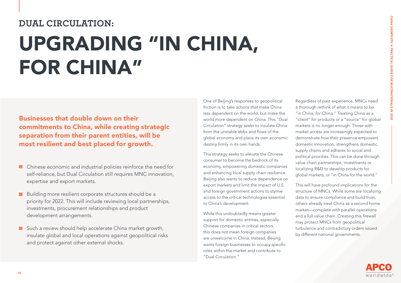### **DUAL CIRCULATION:**

## UPGRADING "IN CHINA, FOR CHINA"

Businesses that double down on their commitments to China, while creating strategic separation from their parent entities, will be most resilient and best placed for growth.

- Chinese economic and industrial policies reinforce the need for  $\mathcal{L}_{\mathcal{A}}$ self-reliance, but Dual Circulation still requires MNC innovation, expertise and export markets.
- Building more resilient corporate structures should be a  $\Box$ priority for 2022. This will include reviewing local partnerships, investments, procurement relationships and product development arrangements.
- Such a review should help accelerate China market growth, insulate global and local operations against geopolitical risks and protect against other external shocks.

One of Beijing's responses to geopolitical friction is to take actions that make China less dependent on the world, but make the world more dependent on China. This "Dual Circulation" strategy seeks to insulate China from the unstable ebbs and flows of the global economy and place its own economic destiny firmly in its own hands.

This strategy seeks to elevate the Chinese consumer to become the bedrock of its economy, empowering domestic companies and enhancing local supply chain resilience. Beijing also wants to reduce dependence on export markets and limit the impact of U.S. and foreign government actions to stymie access to the critical technologies essential to China's development.

While this undoubtedly means greater support for domestic entities, especially Chinese companies in critical sectors, this does not mean foreign companies are unwelcome in China. Instead, Beijing wants foreign businesses to occupy specific roles within the market and contribute to "Dual Circulation."

Regardless of past experience, MNCs need a thorough rethink of what it means to be "in China, for China." Treating China as a "client" for products or a "source" for global markets is no longer enough. Those with market access are increasingly expected to demonstrate how their presence empowers domestic innovation, strengthens domestic supply chains and adheres to social and political priorities. This can be done through value chain partnerships, investments or localizing R&D to develop products for global markets, or "in China for the world."

This will have profound implications for the structure of MNCs. While some are localizing data to ensure compliance and build trust, others already treat China as a second home market—complete with parallel operations and a full value chain. Creating this firewall may protect MNCs from geopolitical turbulence and contradictory orders issued by different national governments.

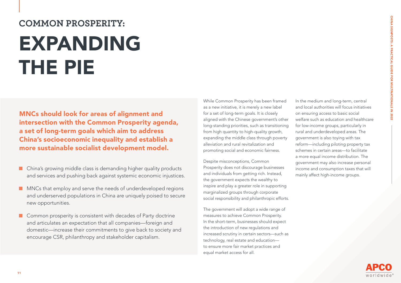### **COMMON PROSPERITY:**  EXPANDING THE PIE

MNCs should look for areas of alignment and intersection with the Common Prosperity agenda, a set of long-term goals which aim to address China's socioeconomic inequality and establish a more sustainable socialist development model.

- China's growing middle class is demanding higher quality products and services and pushing back against systemic economic injustices.
- MNCs that employ and serve the needs of underdeveloped regions and underserved populations in China are uniquely poised to secure new opportunities.
- **Common prosperity is consistent with decades of Party doctrine** and articulates an expectation that all companies—foreign and domestic—increase their commitments to give back to society and encourage CSR, philanthropy and stakeholder capitalism.

While Common Prosperity has been framed as a new initiative, it is merely a new label for a set of long-term goals. It is closely aligned with the Chinese government's other long-standing priorities, such as transitioning from high quantity to high-quality growth, expanding the middle class through poverty alleviation and rural revitalization and promoting social and economic fairness.

Despite misconceptions, Common Prosperity does not discourage businesses and individuals from getting rich. Instead, the government expects the wealthy to inspire and play a greater role in supporting marginalized groups through corporate social responsibility and philanthropic efforts.

The government will adopt a wide range of measures to achieve Common Prosperity. In the short-term, businesses should expect the introduction of new regulations and increased scrutiny in certain sectors—such as technology, real estate and education to ensure more fair market practices and equal market access for all.

In the medium and long-term, central and local authorities will focus initiatives on ensuring access to basic social welfare such as education and healthcare for low-income groups, particularly in rural and underdeveloped areas. The government is also toying with tax reform—including piloting property tax schemes in certain areas—to facilitate a more equal income distribution. The government may also increase personal income and consumption taxes that will mainly affect high-income groups.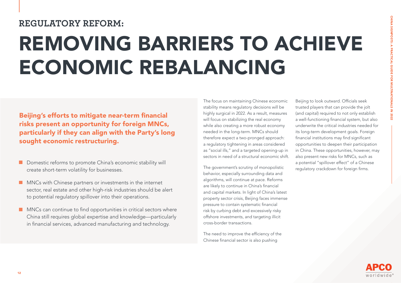### **REGULATORY REFORM:**

# REMOVING BARRIERS TO ACHIEVE ECONOMIC REBALANCING

Beijing's efforts to mitigate near-term financial risks present an opportunity for foreign MNCs, particularly if they can align with the Party's long sought economic restructuring.

- Domestic reforms to promote China's economic stability will create short-term volatility for businesses.
- **MNCs with Chinese partners or investments in the internet** sector, real estate and other high-risk industries should be alert to potential regulatory spillover into their operations.
- **MNCs can continue to find opportunities in critical sectors where** China still requires global expertise and knowledge—particularly in financial services, advanced manufacturing and technology.

The focus on maintaining Chinese economic stability means regulatory decisions will be highly surgical in 2022. As a result, measures will focus on stabilizing the real economy while also creating a more robust economy needed in the long-term. MNCs should therefore expect a two-pronged approach: a regulatory tightening in areas considered as "social ills," and a targeted opening-up in sectors in need of a structural economic shift.

The government's scrutiny of monopolistic behavior, especially surrounding data and algorithms, will continue at pace. Reforms are likely to continue in China's financial and capital markets. In light of China's latest property sector crisis, Beijing faces immense pressure to contain systematic financial risk by curbing debt and excessively risky offshore investments, and targeting illicit cross-border transactions.

The need to improve the efficiency of the Chinese financial sector is also pushing

Beijing to look outward. Officials seek trusted players that can provide the jolt (and capital) required to not only establish a well-functioning financial system, but also underwrite the critical industries needed for its long-term development goals. Foreign financial institutions may find significant opportunities to deepen their participation in China. These opportunities, however, may also present new risks for MNCs, such as a potential "spillover effect" of a Chinese regulatory crackdown for foreign firms.

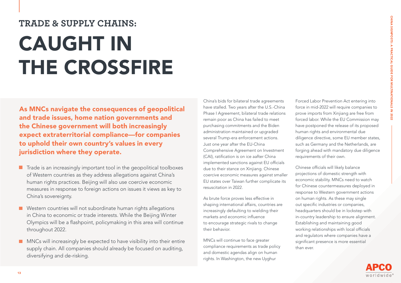### **TRADE & SUPPLY CHAINS:**

# CAUGHT IN THE CROSSFIRE

As MNCs navigate the consequences of geopolitical and trade issues, home nation governments and the Chinese government will both increasingly expect extraterritorial compliance—for companies to uphold their own country's values in every jurisdiction where they operate.

- $\blacksquare$  Trade is an increasingly important tool in the geopolitical toolboxes of Western countries as they address allegations against China's human rights practices. Beijing will also use coercive economic measures in response to foreign actions on issues it views as key to China's sovereignty.
- Western countries will not subordinate human rights allegations П in China to economic or trade interests. While the Beijing Winter Olympics will be a flashpoint, policymaking in this area will continue throughout 2022.
- **MNCs** will increasingly be expected to have visibility into their entire supply chain. All companies should already be focused on auditing, diversifying and de-risking.

China's bids for bilateral trade agreements have stalled. Two years after the U.S.-China Phase I Agreement, bilateral trade relations remain poor as China has failed to meet purchasing commitments and the Biden administration maintained or upgraded several Trump-era enforcement actions. Just one year after the EU-China Comprehensive Agreement on Investment (CAI), ratification is on ice aafter China implemented sanctions against EU officials due to their stance on Xinjiang. Chinese coercive economic measures against smaller EU states over Taiwan further complicate its resuscitation in 2022.

As brute force proves less effective in shaping international affairs, countries are increasingly defaulting to wielding their markets and economic influence to encourage strategic rivals to change their behavior.

MNCs will continue to face greater compliance requirements as trade policy and domestic agendas align on human rights. In Washington, the new Uyghur

Forced Labor Prevention Act entering into force in mid-2022 will require companies to prove imports from Xinjiang are free from forced labor. While the EU Commission may have postponed the release of its proposed human rights and environmental due diligence directive, some EU member states, such as Germany and the Netherlands, are forging ahead with mandatory due diligence requirements of their own.

Chinese officials will likely balance projections of domestic strength with economic stability. MNCs need to watch for Chinese countermeasures deployed in response to Western government actions on human rights. As these may single out specific industries or companies, headquarters should be in lockstep with in-country leadership to ensure alignment. Establishing and maintaining good working relationships with local officials and regulators where companies have a significant presence is more essential than ever.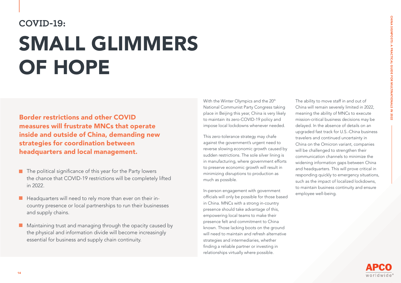### **COVID-19:**  SMALL GLIMMERS OF HOPE

Border restrictions and other COVID measures will frustrate MNCs that operate inside and outside of China, demanding new strategies for coordination between headquarters and local management.

- $\blacksquare$  The political significance of this year for the Party lowers the chance that COVID-19 restrictions will be completely lifted in 2022.
- $\blacksquare$  Headquarters will need to rely more than ever on their incountry presence or local partnerships to run their businesses and supply chains.
- Maintaining trust and managing through the opacity caused by П the physical and information divide will become increasingly essential for business and supply chain continuity.

With the Winter Olympics and the 20<sup>th</sup> National Communist Party Congress taking place in Beijing this year, China is very likely to maintain its zero-COVID-19 policy and impose local lockdowns whenever needed.

This zero-tolerance strategy may chafe against the government's urgent need to reverse slowing economic growth caused by sudden restrictions. The sole silver lining is in manufacturing, where government efforts to preserve economic growth will result in minimizing disruptions to production as much as possible.

In-person engagement with government officials will only be possible for those based in China. MNCs with a strong in-country presence should take advantage of this, empowering local teams to make their presence felt and commitment to China known. Those lacking boots on the ground will need to maintain and refresh alternative strategies and intermediaries, whether finding a reliable partner or investing in relationships virtually where possible.

The ability to move staff in and out of China will remain severely limited in 2022, meaning the ability of MNCs to execute mission-critical business decisions may be delayed. In the absence of details on an upgraded fast track for U.S.-China business travelers and continued uncertainty in China on the Omicron variant, companies will be challenged to strengthen their communication channels to minimize the widening information gaps between China and headquarters. This will prove critical in responding quickly to emergency situations, such as the impact of localized lockdowns, to maintain business continuity and ensure employee well-being.

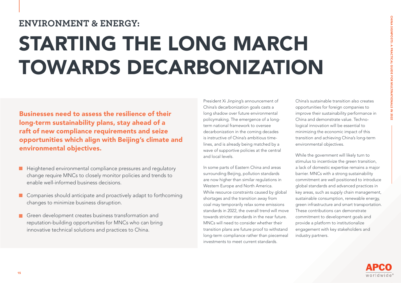### **ENVIRONMENT & ENERGY:**

# STARTING THE LONG MARCH TOWARDS DECARBONIZATION

Businesses need to assess the resilience of their long-term sustainability plans, stay ahead of a raft of new compliance requirements and seize opportunities which align with Beijing's climate and environmental objectives.

- **H** Heightened environmental compliance pressures and regulatory change require MNCs to closely monitor policies and trends to enable well-informed business decisions.
- Companies should anticipate and proactively adapt to forthcoming  $\blacksquare$ changes to minimize business disruption.
- Green development creates business transformation and reputation-building opportunities for MNCs who can bring innovative technical solutions and practices to China.

President Xi Jinping's announcement of China's decarbonization goals casts a long shadow over future environmental policymaking. The emergence of a longterm national framework to oversee decarbonization in the coming decades is instructive of China's ambitious timelines, and is already being matched by a wave of supportive policies at the central and local levels.

In some parts of Eastern China and areas surrounding Beijing, pollution standards are now higher than similar regulations in Western Europe and North America. While resource constraints caused by global shortages and the transition away from coal may temporarily relax some emissions standards in 2022, the overall trend will move towards stricter standards in the near future. MNCs will need to consider whether their transition plans are future proof to withstand long-term compliance rather than piecemeal investments to meet current standards.

China's sustainable transition also creates opportunities for foreign companies to improve their sustainability performance in China and demonstrate value. Technological innovation will be essential to minimizing the economic impact of this transition and achieving China's long-term environmental objectives.

While the government will likely turn to stimulus to incentivize the green transition, a lack of domestic expertise remains a major barrier. MNCs with a strong sustainability commitment are well positioned to introduce global standards and advanced practices in key areas, such as supply chain management, sustainable consumption, renewable energy, green infrastructure and smart transportation. These contributions can demonstrate commitment to development goals and provide a platform to institutionalize engagement with key stakeholders and industry partners.